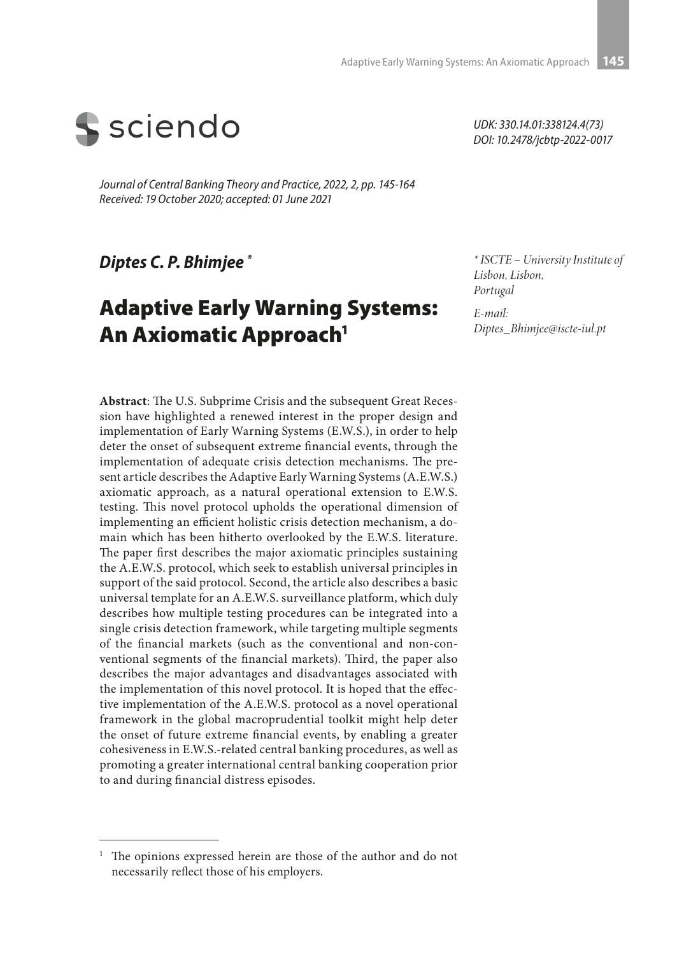

*Journal of Central Banking Theory and Practice, 2022, 2, pp. 145-164 Received: 19 October 2020; accepted: 01 June 2021* 

*Diptes C. P. Bhimjee \**

# Adaptive Early Warning Systems: An Axiomatic Approach<sup>1</sup>

*UDK: 330.14.01:338124.4(73) DOI: 10.2478/jcbtp-2022-0017*

*\* ISCTE – University Institute of Lisbon, Lisbon, Portugal*

*E-mail: Diptes\_Bhimjee@iscte-iul.pt*

**Abstract**: The U.S. Subprime Crisis and the subsequent Great Recession have highlighted a renewed interest in the proper design and implementation of Early Warning Systems (E.W.S.), in order to help deter the onset of subsequent extreme financial events, through the implementation of adequate crisis detection mechanisms. The present article describes the Adaptive Early Warning Systems (A.E.W.S.) axiomatic approach, as a natural operational extension to E.W.S. testing. This novel protocol upholds the operational dimension of implementing an efficient holistic crisis detection mechanism, a domain which has been hitherto overlooked by the E.W.S. literature. The paper first describes the major axiomatic principles sustaining the A.E.W.S. protocol, which seek to establish universal principles in support of the said protocol. Second, the article also describes a basic universal template for an A.E.W.S. surveillance platform, which duly describes how multiple testing procedures can be integrated into a single crisis detection framework, while targeting multiple segments of the financial markets (such as the conventional and non-conventional segments of the financial markets). Third, the paper also describes the major advantages and disadvantages associated with the implementation of this novel protocol. It is hoped that the effective implementation of the A.E.W.S. protocol as a novel operational framework in the global macroprudential toolkit might help deter the onset of future extreme financial events, by enabling a greater cohesiveness in E.W.S.-related central banking procedures, as well as promoting a greater international central banking cooperation prior to and during financial distress episodes.

The opinions expressed herein are those of the author and do not necessarily reflect those of his employers.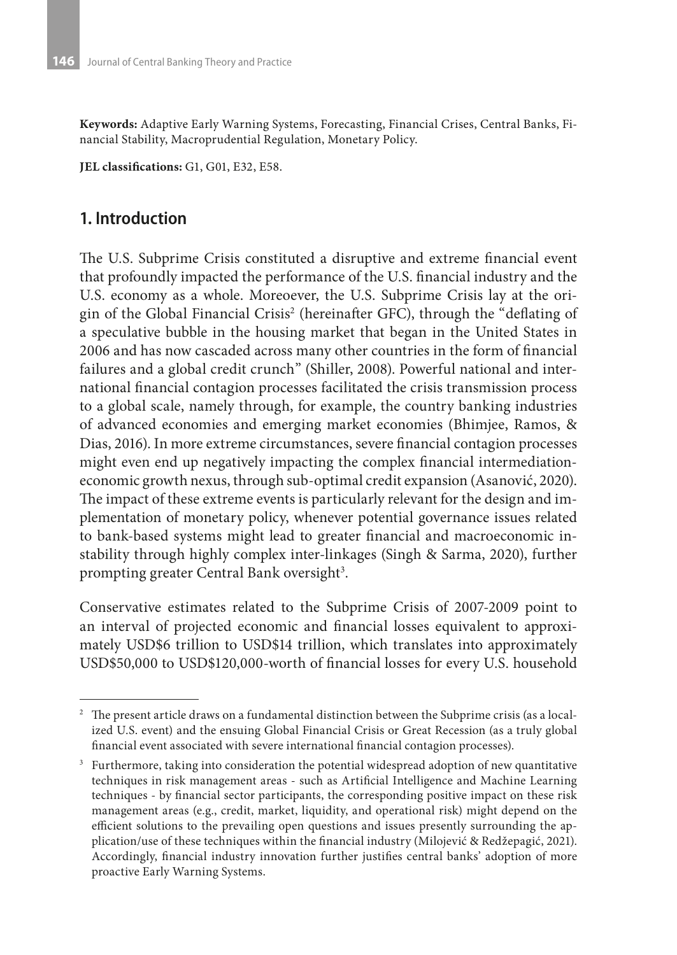**Keywords:** Adaptive Early Warning Systems, Forecasting, Financial Crises, Central Banks, Financial Stability, Macroprudential Regulation, Monetary Policy.

**JEL classifications:** G1, G01, E32, E58.

### **1. Introduction**

The U.S. Subprime Crisis constituted a disruptive and extreme financial event that profoundly impacted the performance of the U.S. financial industry and the U.S. economy as a whole. Moreoever, the U.S. Subprime Crisis lay at the origin of the Global Financial Crisis<sup>2</sup> (hereinafter GFC), through the "deflating of a speculative bubble in the housing market that began in the United States in 2006 and has now cascaded across many other countries in the form of financial failures and a global credit crunch" (Shiller, 2008). Powerful national and international financial contagion processes facilitated the crisis transmission process to a global scale, namely through, for example, the country banking industries of advanced economies and emerging market economies (Bhimjee, Ramos, & Dias, 2016). In more extreme circumstances, severe financial contagion processes might even end up negatively impacting the complex financial intermediationeconomic growth nexus, through sub-optimal credit expansion (Asanović, 2020). The impact of these extreme events is particularly relevant for the design and implementation of monetary policy, whenever potential governance issues related to bank-based systems might lead to greater financial and macroeconomic instability through highly complex inter-linkages (Singh & Sarma, 2020), further prompting greater Central Bank oversight<sup>3</sup>.

Conservative estimates related to the Subprime Crisis of 2007-2009 point to an interval of projected economic and financial losses equivalent to approximately USD\$6 trillion to USD\$14 trillion, which translates into approximately USD\$50,000 to USD\$120,000-worth of financial losses for every U.S. household

<sup>2</sup> The present article draws on a fundamental distinction between the Subprime crisis (as a localized U.S. event) and the ensuing Global Financial Crisis or Great Recession (as a truly global financial event associated with severe international financial contagion processes).

 $3$  Furthermore, taking into consideration the potential widespread adoption of new quantitative techniques in risk management areas - such as Artificial Intelligence and Machine Learning techniques - by financial sector participants, the corresponding positive impact on these risk management areas (e.g., credit, market, liquidity, and operational risk) might depend on the efficient solutions to the prevailing open questions and issues presently surrounding the application/use of these techniques within the financial industry (Milojević & Redžepagić, 2021). Accordingly, financial industry innovation further justifies central banks' adoption of more proactive Early Warning Systems.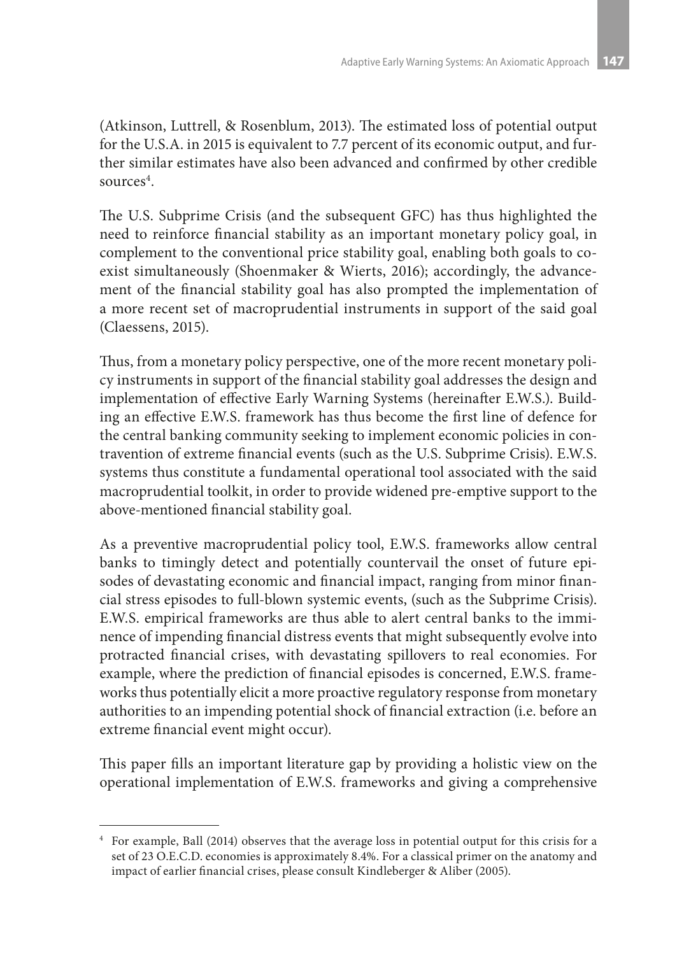(Atkinson, Luttrell, & Rosenblum, 2013). The estimated loss of potential output for the U.S.A. in 2015 is equivalent to 7.7 percent of its economic output, and further similar estimates have also been advanced and confirmed by other credible sources<sup>4</sup>.

The U.S. Subprime Crisis (and the subsequent GFC) has thus highlighted the need to reinforce financial stability as an important monetary policy goal, in complement to the conventional price stability goal, enabling both goals to coexist simultaneously (Shoenmaker & Wierts, 2016); accordingly, the advancement of the financial stability goal has also prompted the implementation of a more recent set of macroprudential instruments in support of the said goal (Claessens, 2015).

Thus, from a monetary policy perspective, one of the more recent monetary policy instruments in support of the financial stability goal addresses the design and implementation of effective Early Warning Systems (hereinafter E.W.S.). Building an effective E.W.S. framework has thus become the first line of defence for the central banking community seeking to implement economic policies in contravention of extreme financial events (such as the U.S. Subprime Crisis). E.W.S. systems thus constitute a fundamental operational tool associated with the said macroprudential toolkit, in order to provide widened pre-emptive support to the above-mentioned financial stability goal.

As a preventive macroprudential policy tool, E.W.S. frameworks allow central banks to timingly detect and potentially countervail the onset of future episodes of devastating economic and financial impact, ranging from minor financial stress episodes to full-blown systemic events, (such as the Subprime Crisis). E.W.S. empirical frameworks are thus able to alert central banks to the imminence of impending financial distress events that might subsequently evolve into protracted financial crises, with devastating spillovers to real economies. For example, where the prediction of financial episodes is concerned, E.W.S. frameworks thus potentially elicit a more proactive regulatory response from monetary authorities to an impending potential shock of financial extraction (i.e. before an extreme financial event might occur).

This paper fills an important literature gap by providing a holistic view on the operational implementation of E.W.S. frameworks and giving a comprehensive

<sup>4</sup> For example, Ball (2014) observes that the average loss in potential output for this crisis for a set of 23 O.E.C.D. economies is approximately 8.4%. For a classical primer on the anatomy and impact of earlier financial crises, please consult Kindleberger & Aliber (2005).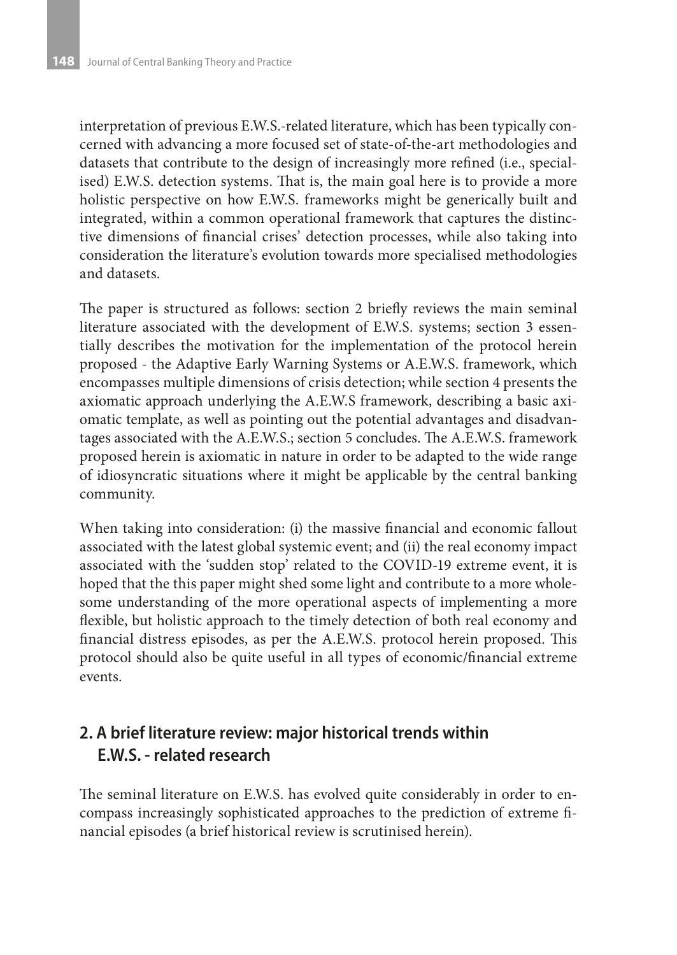interpretation of previous E.W.S.-related literature, which has been typically concerned with advancing a more focused set of state-of-the-art methodologies and datasets that contribute to the design of increasingly more refined (i.e., specialised) E.W.S. detection systems. That is, the main goal here is to provide a more holistic perspective on how E.W.S. frameworks might be generically built and integrated, within a common operational framework that captures the distinctive dimensions of financial crises' detection processes, while also taking into consideration the literature's evolution towards more specialised methodologies and datasets.

The paper is structured as follows: section 2 briefly reviews the main seminal literature associated with the development of E.W.S. systems; section 3 essentially describes the motivation for the implementation of the protocol herein proposed - the Adaptive Early Warning Systems or A.E.W.S. framework, which encompasses multiple dimensions of crisis detection; while section 4 presents the axiomatic approach underlying the A.E.W.S framework, describing a basic axiomatic template, as well as pointing out the potential advantages and disadvantages associated with the A.E.W.S.; section 5 concludes. The A.E.W.S. framework proposed herein is axiomatic in nature in order to be adapted to the wide range of idiosyncratic situations where it might be applicable by the central banking community.

When taking into consideration: (i) the massive financial and economic fallout associated with the latest global systemic event; and (ii) the real economy impact associated with the 'sudden stop' related to the COVID-19 extreme event, it is hoped that the this paper might shed some light and contribute to a more wholesome understanding of the more operational aspects of implementing a more flexible, but holistic approach to the timely detection of both real economy and financial distress episodes, as per the A.E.W.S. protocol herein proposed. This protocol should also be quite useful in all types of economic/financial extreme events.

# **2. A brief literature review: major historical trends within E.W.S. - related research**

The seminal literature on E.W.S. has evolved quite considerably in order to encompass increasingly sophisticated approaches to the prediction of extreme financial episodes (a brief historical review is scrutinised herein).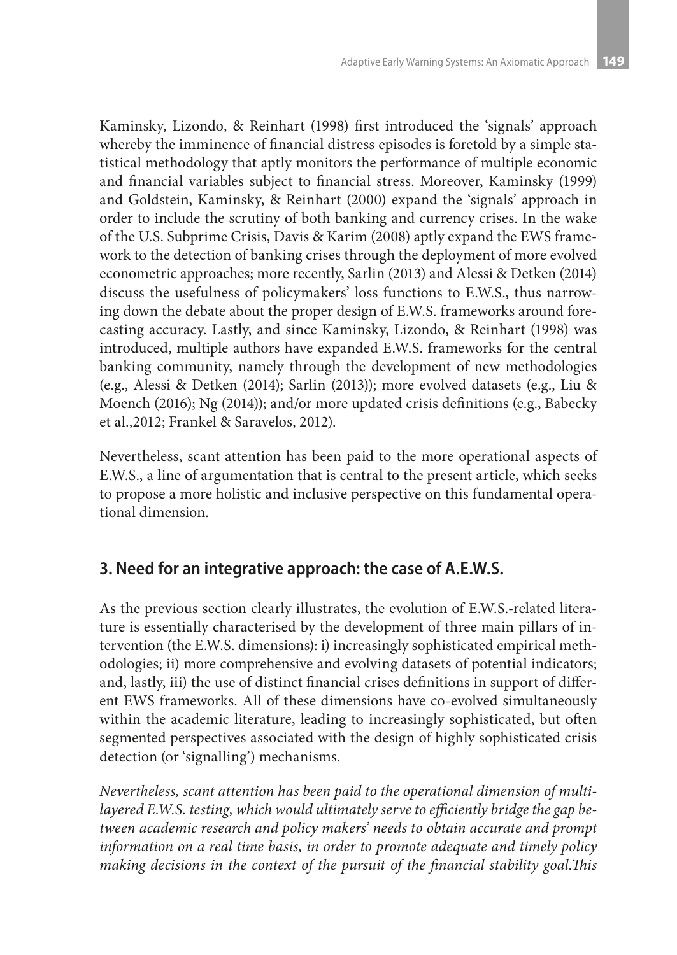Kaminsky, Lizondo, & Reinhart (1998) first introduced the 'signals' approach whereby the imminence of financial distress episodes is foretold by a simple statistical methodology that aptly monitors the performance of multiple economic and financial variables subject to financial stress. Moreover, Kaminsky (1999) and Goldstein, Kaminsky, & Reinhart (2000) expand the 'signals' approach in order to include the scrutiny of both banking and currency crises. In the wake of the U.S. Subprime Crisis, Davis & Karim (2008) aptly expand the EWS framework to the detection of banking crises through the deployment of more evolved econometric approaches; more recently, Sarlin (2013) and Alessi & Detken (2014) discuss the usefulness of policymakers' loss functions to E.W.S., thus narrowing down the debate about the proper design of E.W.S. frameworks around forecasting accuracy. Lastly, and since Kaminsky, Lizondo, & Reinhart (1998) was introduced, multiple authors have expanded E.W.S. frameworks for the central banking community, namely through the development of new methodologies (e.g., Alessi & Detken (2014); Sarlin (2013)); more evolved datasets (e.g., Liu & Moench (2016); Ng (2014)); and/or more updated crisis definitions (e.g., Babecky et al.,2012; Frankel & Saravelos, 2012).

Nevertheless, scant attention has been paid to the more operational aspects of E.W.S., a line of argumentation that is central to the present article, which seeks to propose a more holistic and inclusive perspective on this fundamental operational dimension.

# **3. Need for an integrative approach: the case of A.E.W.S.**

As the previous section clearly illustrates, the evolution of E.W.S.-related literature is essentially characterised by the development of three main pillars of intervention (the E.W.S. dimensions): i) increasingly sophisticated empirical methodologies; ii) more comprehensive and evolving datasets of potential indicators; and, lastly, iii) the use of distinct financial crises definitions in support of different EWS frameworks. All of these dimensions have co-evolved simultaneously within the academic literature, leading to increasingly sophisticated, but often segmented perspectives associated with the design of highly sophisticated crisis detection (or 'signalling') mechanisms.

*Nevertheless, scant attention has been paid to the operational dimension of multilayered E.W.S. testing, which would ultimately serve to efficiently bridge the gap between academic research and policy makers' needs to obtain accurate and prompt information on a real time basis, in order to promote adequate and timely policy making decisions in the context of the pursuit of the financial stability goal.This*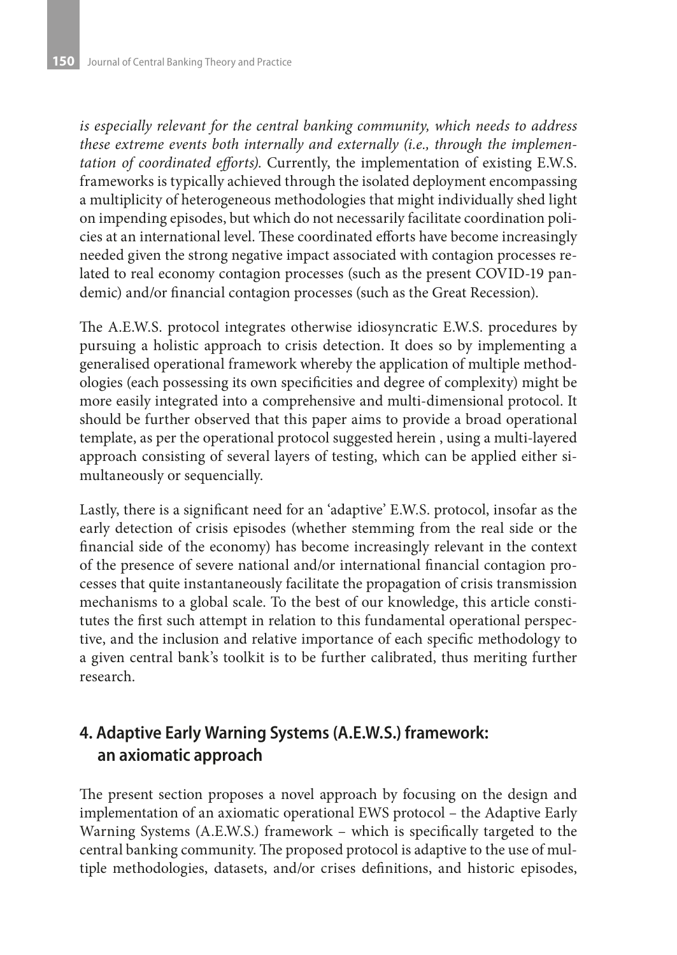*is especially relevant for the central banking community, which needs to address these extreme events both internally and externally (i.e., through the implementation of coordinated efforts)*. Currently, the implementation of existing E.W.S. frameworks is typically achieved through the isolated deployment encompassing a multiplicity of heterogeneous methodologies that might individually shed light on impending episodes, but which do not necessarily facilitate coordination policies at an international level. These coordinated efforts have become increasingly needed given the strong negative impact associated with contagion processes related to real economy contagion processes (such as the present COVID-19 pandemic) and/or financial contagion processes (such as the Great Recession).

The A.E.W.S. protocol integrates otherwise idiosyncratic E.W.S. procedures by pursuing a holistic approach to crisis detection. It does so by implementing a generalised operational framework whereby the application of multiple methodologies (each possessing its own specificities and degree of complexity) might be more easily integrated into a comprehensive and multi-dimensional protocol. It should be further observed that this paper aims to provide a broad operational template, as per the operational protocol suggested herein , using a multi-layered approach consisting of several layers of testing, which can be applied either simultaneously or sequencially.

Lastly, there is a significant need for an 'adaptive' E.W.S. protocol, insofar as the early detection of crisis episodes (whether stemming from the real side or the financial side of the economy) has become increasingly relevant in the context of the presence of severe national and/or international financial contagion processes that quite instantaneously facilitate the propagation of crisis transmission mechanisms to a global scale. To the best of our knowledge, this article constitutes the first such attempt in relation to this fundamental operational perspective, and the inclusion and relative importance of each specific methodology to a given central bank's toolkit is to be further calibrated, thus meriting further research.

# **4. Adaptive Early Warning Systems (A.E.W.S.) framework: an axiomatic approach**

The present section proposes a novel approach by focusing on the design and implementation of an axiomatic operational EWS protocol – the Adaptive Early Warning Systems (A.E.W.S.) framework – which is specifically targeted to the central banking community. The proposed protocol is adaptive to the use of multiple methodologies, datasets, and/or crises definitions, and historic episodes,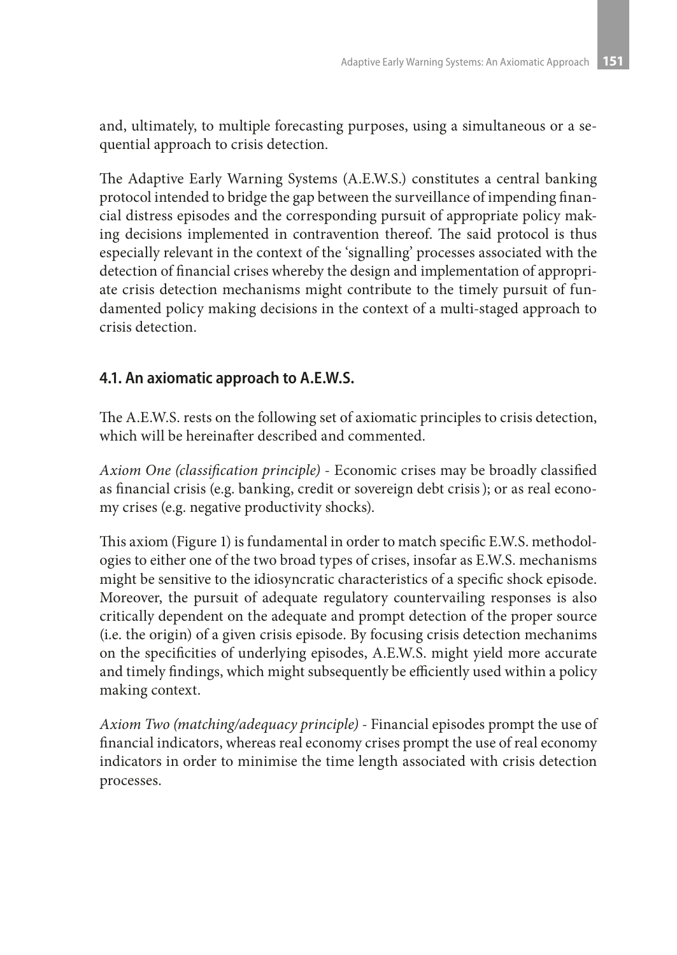and, ultimately, to multiple forecasting purposes, using a simultaneous or a sequential approach to crisis detection.

The Adaptive Early Warning Systems (A.E.W.S.) constitutes a central banking protocol intended to bridge the gap between the surveillance of impending financial distress episodes and the corresponding pursuit of appropriate policy making decisions implemented in contravention thereof. The said protocol is thus especially relevant in the context of the 'signalling' processes associated with the detection of financial crises whereby the design and implementation of appropriate crisis detection mechanisms might contribute to the timely pursuit of fundamented policy making decisions in the context of a multi-staged approach to crisis detection.

### **4.1. An axiomatic approach to A.E.W.S.**

The A.E.W.S. rests on the following set of axiomatic principles to crisis detection, which will be hereinafter described and commented.

*Axiom One (classification principle)* - Economic crises may be broadly classified as financial crisis (e.g. banking, credit or sovereign debt crisis); or as real economy crises (e.g. negative productivity shocks).

This axiom (Figure 1) is fundamental in order to match specific E.W.S. methodologies to either one of the two broad types of crises, insofar as E.W.S. mechanisms might be sensitive to the idiosyncratic characteristics of a specific shock episode. Moreover, the pursuit of adequate regulatory countervailing responses is also critically dependent on the adequate and prompt detection of the proper source (i.e. the origin) of a given crisis episode. By focusing crisis detection mechanims on the specificities of underlying episodes, A.E.W.S. might yield more accurate and timely findings, which might subsequently be efficiently used within a policy making context.

*Axiom Two (matching/adequacy principle)* - Financial episodes prompt the use of financial indicators, whereas real economy crises prompt the use of real economy indicators in order to minimise the time length associated with crisis detection processes.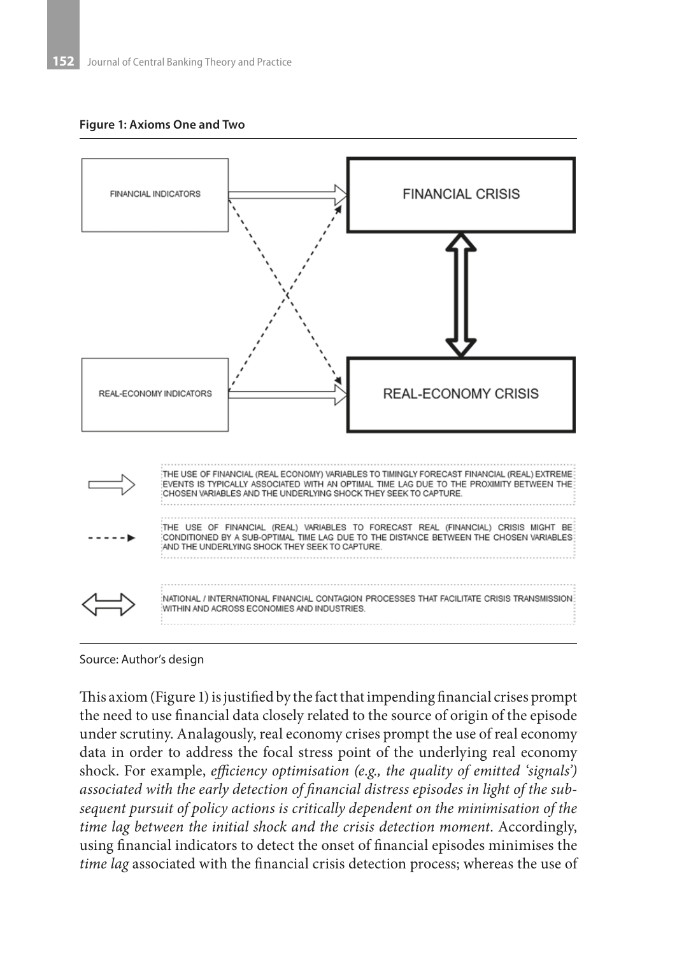#### **Figure 1: Axioms One and Two**



Source: Author's design

This axiom (Figure 1) is justified by the fact that impending financial crises prompt the need to use financial data closely related to the source of origin of the episode under scrutiny. Analagously, real economy crises prompt the use of real economy data in order to address the focal stress point of the underlying real economy shock. For example, *efficiency optimisation (e.g., the quality of emitted 'signals') associated with the early detection of financial distress episodes in light of the subsequent pursuit of policy actions is critically dependent on the minimisation of the time lag between the initial shock and the crisis detection moment*. Accordingly, using financial indicators to detect the onset of financial episodes minimises the *time lag* associated with the financial crisis detection process; whereas the use of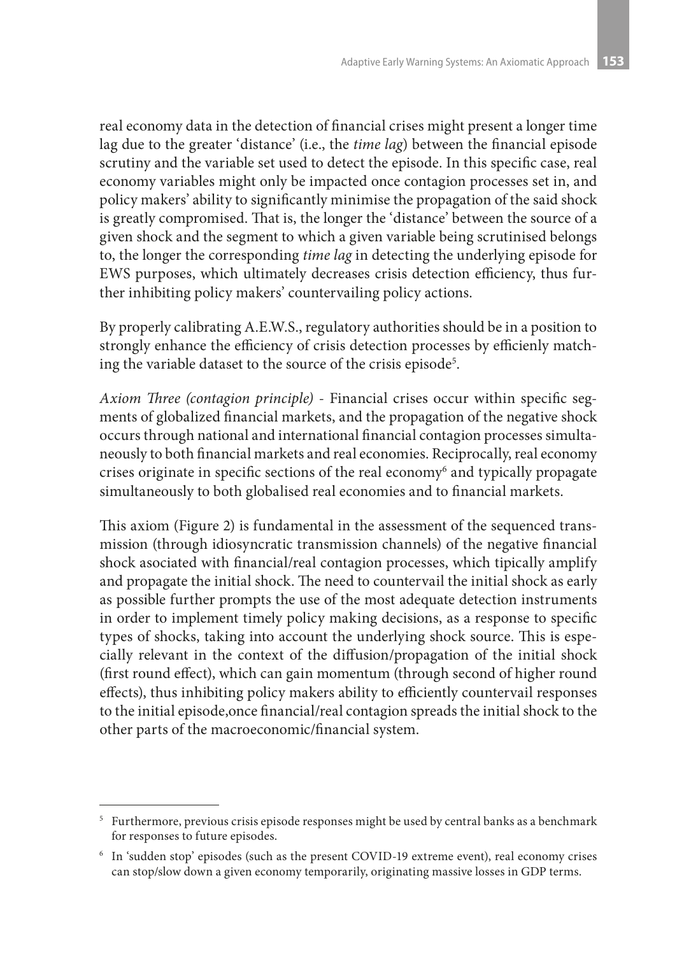real economy data in the detection of financial crises might present a longer time lag due to the greater 'distance' (i.e., the *time lag*) between the financial episode scrutiny and the variable set used to detect the episode. In this specific case, real economy variables might only be impacted once contagion processes set in, and policy makers' ability to significantly minimise the propagation of the said shock is greatly compromised. That is, the longer the 'distance' between the source of a given shock and the segment to which a given variable being scrutinised belongs to, the longer the corresponding *time lag* in detecting the underlying episode for EWS purposes, which ultimately decreases crisis detection efficiency, thus further inhibiting policy makers' countervailing policy actions.

By properly calibrating A.E.W.S., regulatory authorities should be in a position to strongly enhance the efficiency of crisis detection processes by efficienly matching the variable dataset to the source of the crisis episode<sup>5</sup>.

*Axiom Three (contagion principle)* - Financial crises occur within specific segments of globalized financial markets, and the propagation of the negative shock occurs through national and international financial contagion processes simultaneously to both financial markets and real economies. Reciprocally, real economy crises originate in specific sections of the real economy6 and typically propagate simultaneously to both globalised real economies and to financial markets.

This axiom (Figure 2) is fundamental in the assessment of the sequenced transmission (through idiosyncratic transmission channels) of the negative financial shock asociated with financial/real contagion processes, which tipically amplify and propagate the initial shock. The need to countervail the initial shock as early as possible further prompts the use of the most adequate detection instruments in order to implement timely policy making decisions, as a response to specific types of shocks, taking into account the underlying shock source. This is especially relevant in the context of the diffusion/propagation of the initial shock (first round effect), which can gain momentum (through second of higher round effects), thus inhibiting policy makers ability to efficiently countervail responses to the initial episode,once financial/real contagion spreads the initial shock to the other parts of the macroeconomic/financial system.

<sup>&</sup>lt;sup>5</sup> Furthermore, previous crisis episode responses might be used by central banks as a benchmark for responses to future episodes.

<sup>6</sup> In 'sudden stop' episodes (such as the present COVID-19 extreme event), real economy crises can stop/slow down a given economy temporarily, originating massive losses in GDP terms.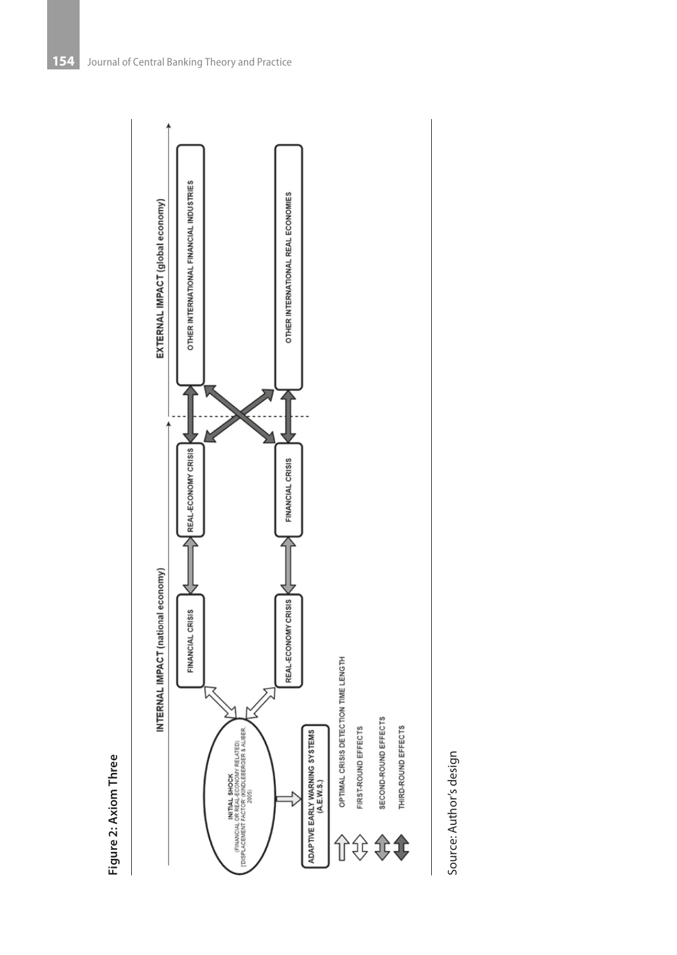



Source: Author's design Source: Author's design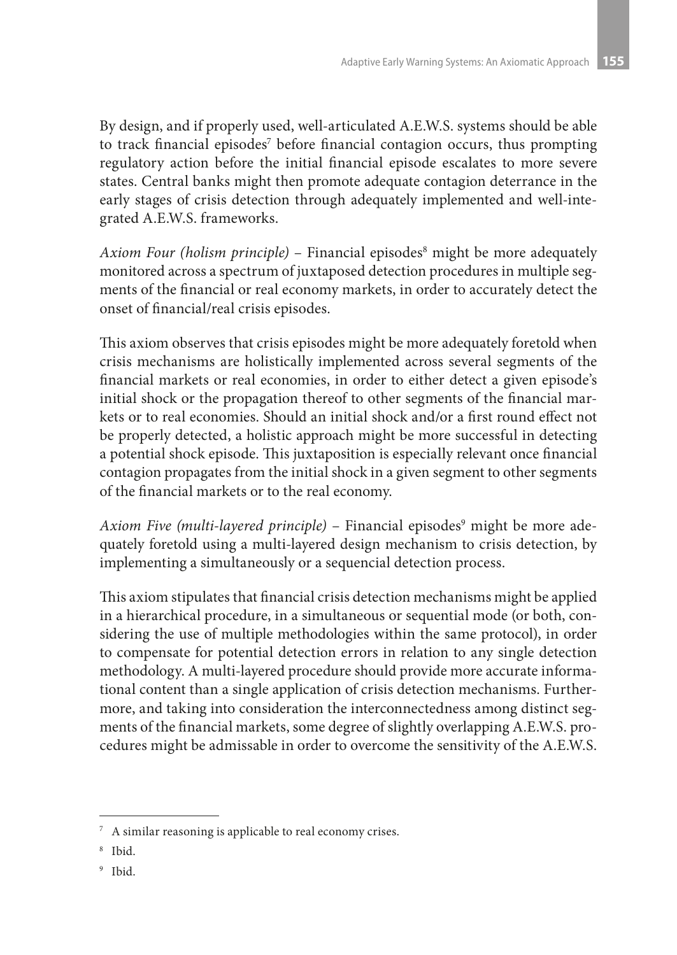By design, and if properly used, well-articulated A.E.W.S. systems should be able to track financial episodes<sup>7</sup> before financial contagion occurs, thus prompting regulatory action before the initial financial episode escalates to more severe states. Central banks might then promote adequate contagion deterrance in the early stages of crisis detection through adequately implemented and well-integrated A.E.W.S. frameworks.

Axiom Four (holism principle) – Financial episodes<sup>8</sup> might be more adequately monitored across a spectrum of juxtaposed detection procedures in multiple segments of the financial or real economy markets, in order to accurately detect the onset of financial/real crisis episodes.

This axiom observes that crisis episodes might be more adequately foretold when crisis mechanisms are holistically implemented across several segments of the financial markets or real economies, in order to either detect a given episode's initial shock or the propagation thereof to other segments of the financial markets or to real economies. Should an initial shock and/or a first round effect not be properly detected, a holistic approach might be more successful in detecting a potential shock episode. This juxtaposition is especially relevant once financial contagion propagates from the initial shock in a given segment to other segments of the financial markets or to the real economy.

A*xiom Five (multi-layered principle) –* Financial episodes<sup>9</sup> might be more adequately foretold using a multi-layered design mechanism to crisis detection, by implementing a simultaneously or a sequencial detection process.

This axiom stipulates that financial crisis detection mechanisms might be applied in a hierarchical procedure, in a simultaneous or sequential mode (or both, considering the use of multiple methodologies within the same protocol), in order to compensate for potential detection errors in relation to any single detection methodology. A multi-layered procedure should provide more accurate informational content than a single application of crisis detection mechanisms. Furthermore, and taking into consideration the interconnectedness among distinct segments of the financial markets, some degree of slightly overlapping A.E.W.S. procedures might be admissable in order to overcome the sensitivity of the A.E.W.S.

<sup>7</sup> A similar reasoning is applicable to real economy crises.

<sup>8</sup> Ibid.

<sup>9</sup> Ibid.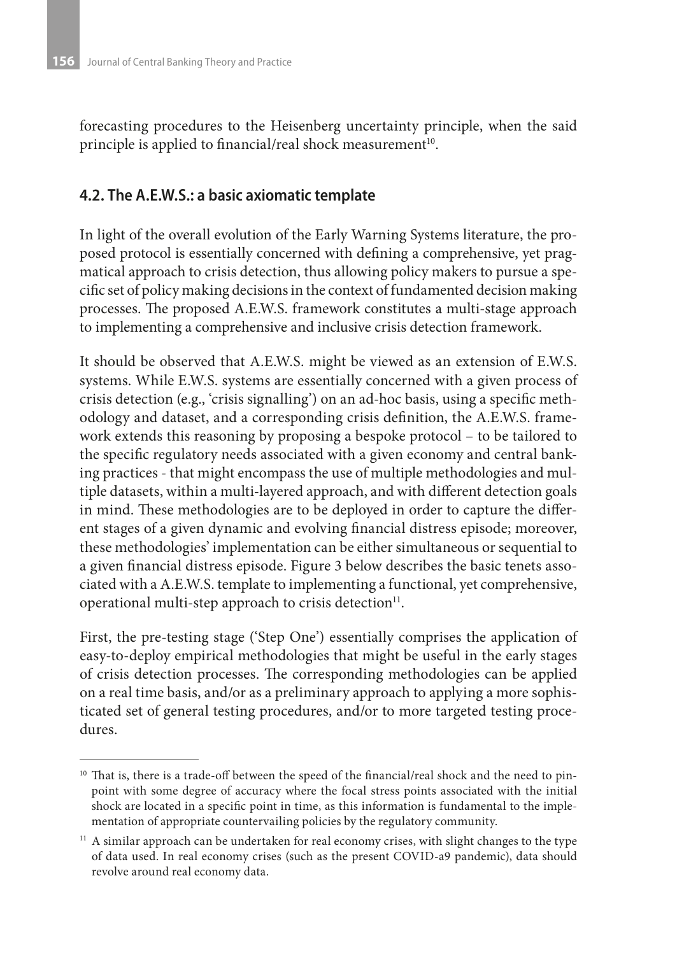forecasting procedures to the Heisenberg uncertainty principle, when the said principle is applied to financial/real shock measurement<sup>10</sup>.

### **4.2. The A.E.W.S.: a basic axiomatic template**

In light of the overall evolution of the Early Warning Systems literature, the proposed protocol is essentially concerned with defining a comprehensive, yet pragmatical approach to crisis detection, thus allowing policy makers to pursue a specific set of policy making decisions in the context of fundamented decision making processes. The proposed A.E.W.S. framework constitutes a multi-stage approach to implementing a comprehensive and inclusive crisis detection framework.

It should be observed that A.E.W.S. might be viewed as an extension of E.W.S. systems. While E.W.S. systems are essentially concerned with a given process of crisis detection (e.g., 'crisis signalling') on an ad-hoc basis, using a specific methodology and dataset, and a corresponding crisis definition, the A.E.W.S. framework extends this reasoning by proposing a bespoke protocol – to be tailored to the specific regulatory needs associated with a given economy and central banking practices - that might encompass the use of multiple methodologies and multiple datasets, within a multi-layered approach, and with different detection goals in mind. These methodologies are to be deployed in order to capture the different stages of a given dynamic and evolving financial distress episode; moreover, these methodologies' implementation can be either simultaneous or sequential to a given financial distress episode. Figure 3 below describes the basic tenets associated with a A.E.W.S. template to implementing a functional, yet comprehensive, operational multi-step approach to crisis detection<sup>11</sup>.

First, the pre-testing stage ('Step One') essentially comprises the application of easy-to-deploy empirical methodologies that might be useful in the early stages of crisis detection processes. The corresponding methodologies can be applied on a real time basis, and/or as a preliminary approach to applying a more sophisticated set of general testing procedures, and/or to more targeted testing procedures.

<sup>&</sup>lt;sup>10</sup> That is, there is a trade-off between the speed of the financial/real shock and the need to pinpoint with some degree of accuracy where the focal stress points associated with the initial shock are located in a specific point in time, as this information is fundamental to the implementation of appropriate countervailing policies by the regulatory community.

<sup>&</sup>lt;sup>11</sup> A similar approach can be undertaken for real economy crises, with slight changes to the type of data used. In real economy crises (such as the present COVID-a9 pandemic), data should revolve around real economy data.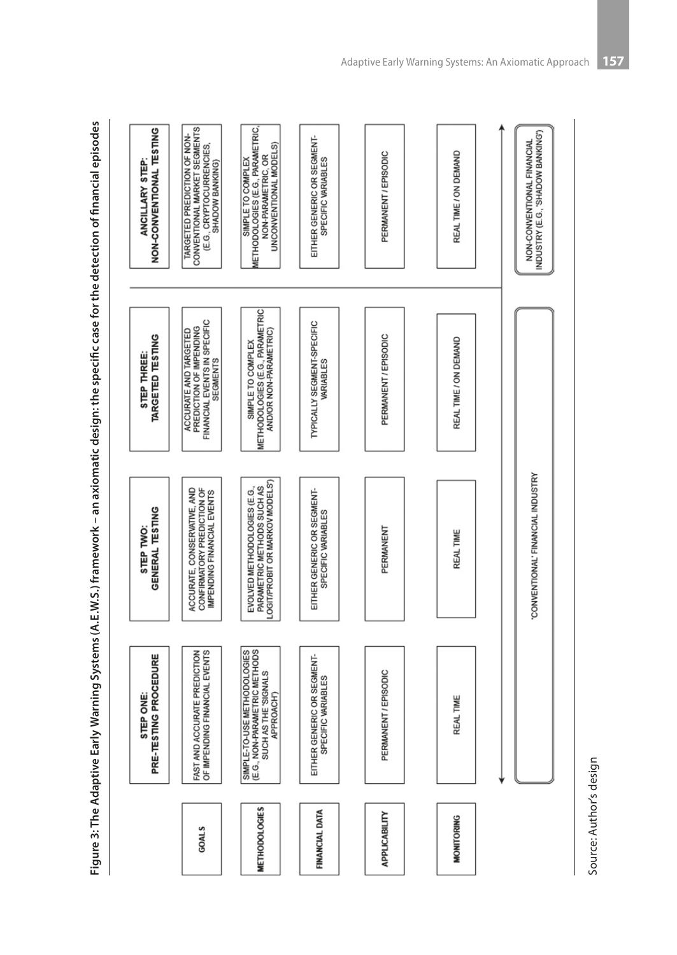Figure 3: The Adaptive Early Warning Systems (A.E.W.S.) framework – an axiomatic design: the specific case for the detection of financial episodes **Figure 3: The Adaptive Early Warning Systems (A.E.W.S.) framework – an axiomatic design: the specific case for the detection of financial episodes**

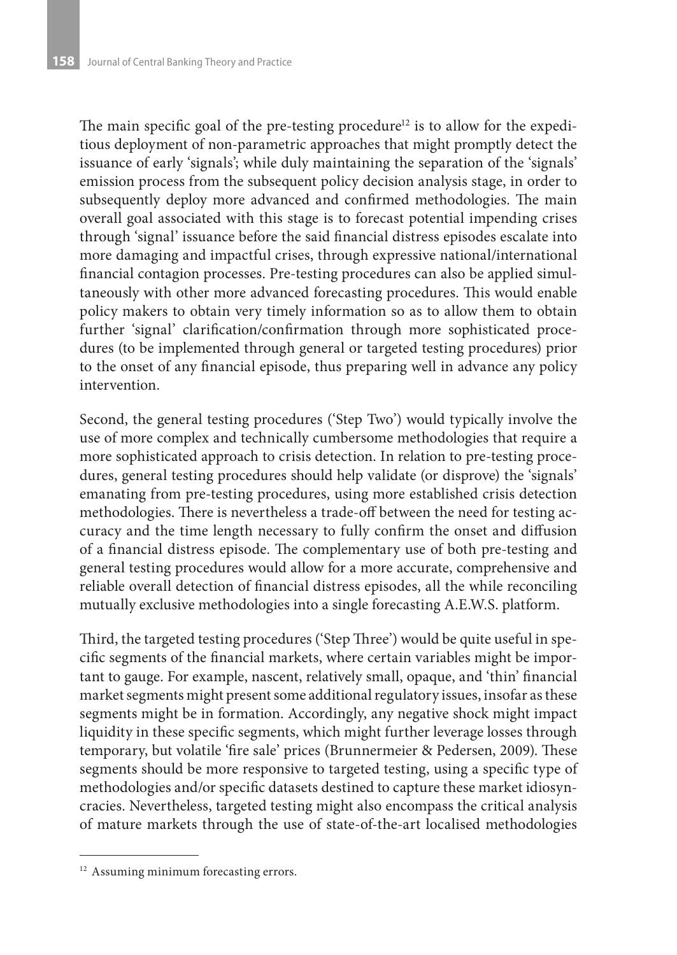The main specific goal of the pre-testing procedure<sup>12</sup> is to allow for the expeditious deployment of non-parametric approaches that might promptly detect the issuance of early 'signals'; while duly maintaining the separation of the 'signals' emission process from the subsequent policy decision analysis stage, in order to subsequently deploy more advanced and confirmed methodologies. The main overall goal associated with this stage is to forecast potential impending crises through 'signal' issuance before the said financial distress episodes escalate into more damaging and impactful crises, through expressive national/international financial contagion processes. Pre-testing procedures can also be applied simultaneously with other more advanced forecasting procedures. This would enable policy makers to obtain very timely information so as to allow them to obtain further 'signal' clarification/confirmation through more sophisticated procedures (to be implemented through general or targeted testing procedures) prior to the onset of any financial episode, thus preparing well in advance any policy intervention.

Second, the general testing procedures ('Step Two') would typically involve the use of more complex and technically cumbersome methodologies that require a more sophisticated approach to crisis detection. In relation to pre-testing procedures, general testing procedures should help validate (or disprove) the 'signals' emanating from pre-testing procedures, using more established crisis detection methodologies. There is nevertheless a trade-off between the need for testing accuracy and the time length necessary to fully confirm the onset and diffusion of a financial distress episode. The complementary use of both pre-testing and general testing procedures would allow for a more accurate, comprehensive and reliable overall detection of financial distress episodes, all the while reconciling mutually exclusive methodologies into a single forecasting A.E.W.S. platform.

Third, the targeted testing procedures ('Step Three') would be quite useful in specific segments of the financial markets, where certain variables might be important to gauge. For example, nascent, relatively small, opaque, and 'thin' financial market segments might present some additional regulatory issues, insofar as these segments might be in formation. Accordingly, any negative shock might impact liquidity in these specific segments, which might further leverage losses through temporary, but volatile 'fire sale' prices (Brunnermeier & Pedersen, 2009). These segments should be more responsive to targeted testing, using a specific type of methodologies and/or specific datasets destined to capture these market idiosyncracies. Nevertheless, targeted testing might also encompass the critical analysis of mature markets through the use of state-of-the-art localised methodologies

<sup>&</sup>lt;sup>12</sup> Assuming minimum forecasting errors.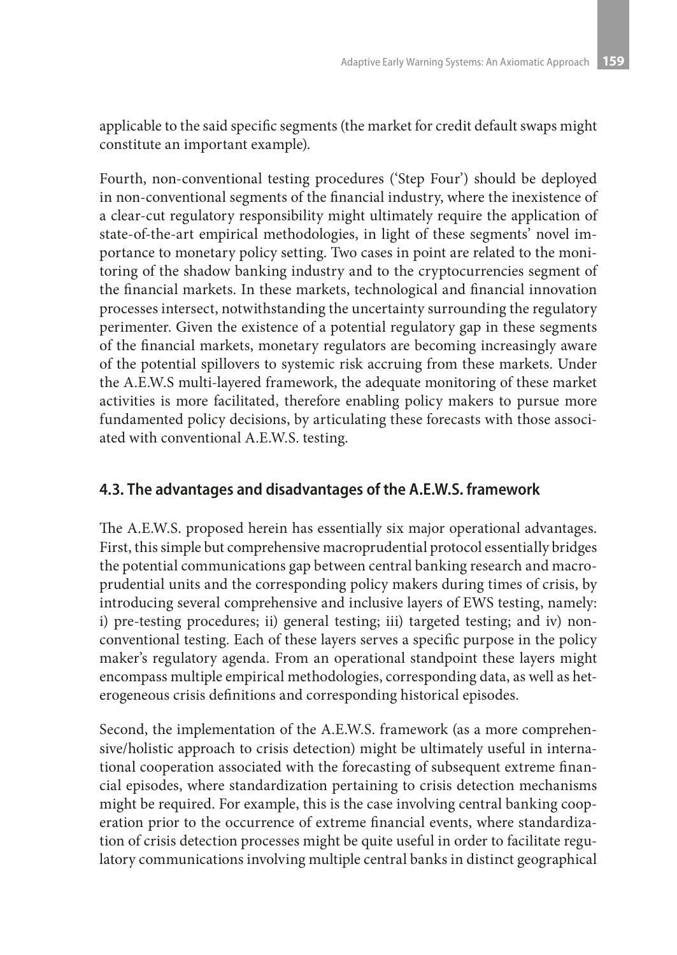applicable to the said specific segments (the market for credit default swaps might constitute an important example).

Fourth, non-conventional testing procedures ('Step Four') should be deployed in non-conventional segments of the financial industry, where the inexistence of a clear-cut regulatory responsibility might ultimately require the application of state-of-the-art empirical methodologies, in light of these segments' novel importance to monetary policy setting. Two cases in point are related to the monitoring of the shadow banking industry and to the cryptocurrencies segment of the financial markets. In these markets, technological and financial innovation processes intersect, notwithstanding the uncertainty surrounding the regulatory perimenter. Given the existence of a potential regulatory gap in these segments of the financial markets, monetary regulators are becoming increasingly aware of the potential spillovers to systemic risk accruing from these markets. Under the A.E.W.S multi-layered framework, the adequate monitoring of these market activities is more facilitated, therefore enabling policy makers to pursue more fundamented policy decisions, by articulating these forecasts with those associated with conventional A.E.W.S. testing.

### **4.3. The advantages and disadvantages of the A.E.W.S. framework**

The A.E.W.S. proposed herein has essentially six major operational advantages. First, this simple but comprehensive macroprudential protocol essentially bridges the potential communications gap between central banking research and macroprudential units and the corresponding policy makers during times of crisis, by introducing several comprehensive and inclusive layers of EWS testing, namely: i) pre-testing procedures; ii) general testing; iii) targeted testing; and iv) nonconventional testing. Each of these layers serves a specific purpose in the policy maker's regulatory agenda. From an operational standpoint these layers might encompass multiple empirical methodologies, corresponding data, as well as heterogeneous crisis definitions and corresponding historical episodes.

Second, the implementation of the A.E.W.S. framework (as a more comprehensive/holistic approach to crisis detection) might be ultimately useful in international cooperation associated with the forecasting of subsequent extreme financial episodes, where standardization pertaining to crisis detection mechanisms might be required. For example, this is the case involving central banking cooperation prior to the occurrence of extreme financial events, where standardization of crisis detection processes might be quite useful in order to facilitate regulatory communications involving multiple central banks in distinct geographical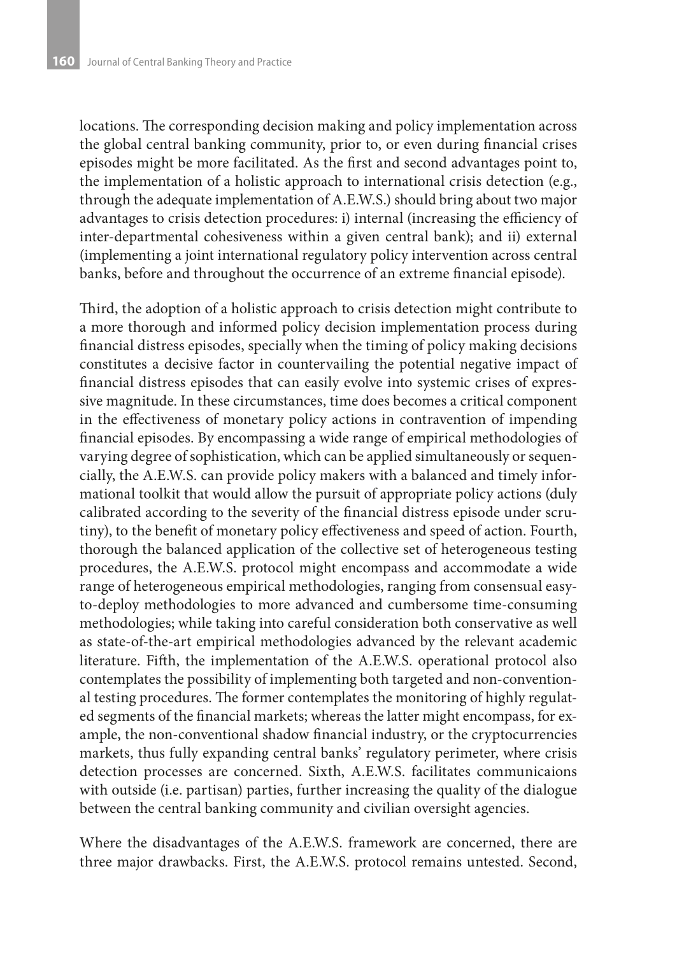locations. The corresponding decision making and policy implementation across the global central banking community, prior to, or even during financial crises episodes might be more facilitated. As the first and second advantages point to, the implementation of a holistic approach to international crisis detection (e.g., through the adequate implementation of A.E.W.S.) should bring about two major advantages to crisis detection procedures: i) internal (increasing the efficiency of inter-departmental cohesiveness within a given central bank); and ii) external (implementing a joint international regulatory policy intervention across central banks, before and throughout the occurrence of an extreme financial episode).

Third, the adoption of a holistic approach to crisis detection might contribute to a more thorough and informed policy decision implementation process during financial distress episodes, specially when the timing of policy making decisions constitutes a decisive factor in countervailing the potential negative impact of financial distress episodes that can easily evolve into systemic crises of expressive magnitude. In these circumstances, time does becomes a critical component in the effectiveness of monetary policy actions in contravention of impending financial episodes. By encompassing a wide range of empirical methodologies of varying degree of sophistication, which can be applied simultaneously or sequencially, the A.E.W.S. can provide policy makers with a balanced and timely informational toolkit that would allow the pursuit of appropriate policy actions (duly calibrated according to the severity of the financial distress episode under scrutiny), to the benefit of monetary policy effectiveness and speed of action. Fourth, thorough the balanced application of the collective set of heterogeneous testing procedures, the A.E.W.S. protocol might encompass and accommodate a wide range of heterogeneous empirical methodologies, ranging from consensual easyto-deploy methodologies to more advanced and cumbersome time-consuming methodologies; while taking into careful consideration both conservative as well as state-of-the-art empirical methodologies advanced by the relevant academic literature. Fifth, the implementation of the A.E.W.S. operational protocol also contemplates the possibility of implementing both targeted and non-conventional testing procedures. The former contemplates the monitoring of highly regulated segments of the financial markets; whereas the latter might encompass, for example, the non-conventional shadow financial industry, or the cryptocurrencies markets, thus fully expanding central banks' regulatory perimeter, where crisis detection processes are concerned. Sixth, A.E.W.S. facilitates communicaions with outside (i.e. partisan) parties, further increasing the quality of the dialogue between the central banking community and civilian oversight agencies.

Where the disadvantages of the A.E.W.S. framework are concerned, there are three major drawbacks. First, the A.E.W.S. protocol remains untested. Second,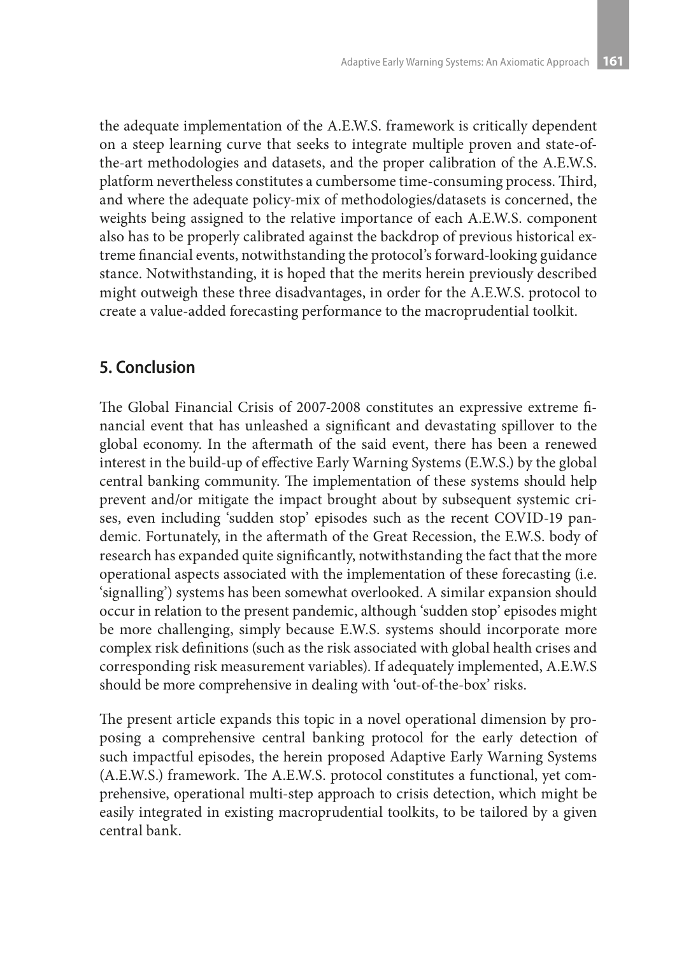the adequate implementation of the A.E.W.S. framework is critically dependent on a steep learning curve that seeks to integrate multiple proven and state-ofthe-art methodologies and datasets, and the proper calibration of the A.E.W.S. platform nevertheless constitutes a cumbersome time-consuming process. Third, and where the adequate policy-mix of methodologies/datasets is concerned, the weights being assigned to the relative importance of each A.E.W.S. component also has to be properly calibrated against the backdrop of previous historical extreme financial events, notwithstanding the protocol's forward-looking guidance stance. Notwithstanding, it is hoped that the merits herein previously described might outweigh these three disadvantages, in order for the A.E.W.S. protocol to create a value-added forecasting performance to the macroprudential toolkit.

# **5. Conclusion**

The Global Financial Crisis of 2007-2008 constitutes an expressive extreme financial event that has unleashed a significant and devastating spillover to the global economy. In the aftermath of the said event, there has been a renewed interest in the build-up of effective Early Warning Systems (E.W.S.) by the global central banking community. The implementation of these systems should help prevent and/or mitigate the impact brought about by subsequent systemic crises, even including 'sudden stop' episodes such as the recent COVID-19 pandemic. Fortunately, in the aftermath of the Great Recession, the E.W.S. body of research has expanded quite significantly, notwithstanding the fact that the more operational aspects associated with the implementation of these forecasting (i.e. 'signalling') systems has been somewhat overlooked. A similar expansion should occur in relation to the present pandemic, although 'sudden stop' episodes might be more challenging, simply because E.W.S. systems should incorporate more complex risk definitions (such as the risk associated with global health crises and corresponding risk measurement variables). If adequately implemented, A.E.W.S should be more comprehensive in dealing with 'out-of-the-box' risks.

The present article expands this topic in a novel operational dimension by proposing a comprehensive central banking protocol for the early detection of such impactful episodes, the herein proposed Adaptive Early Warning Systems (A.E.W.S.) framework. The A.E.W.S. protocol constitutes a functional, yet comprehensive, operational multi-step approach to crisis detection, which might be easily integrated in existing macroprudential toolkits, to be tailored by a given central bank.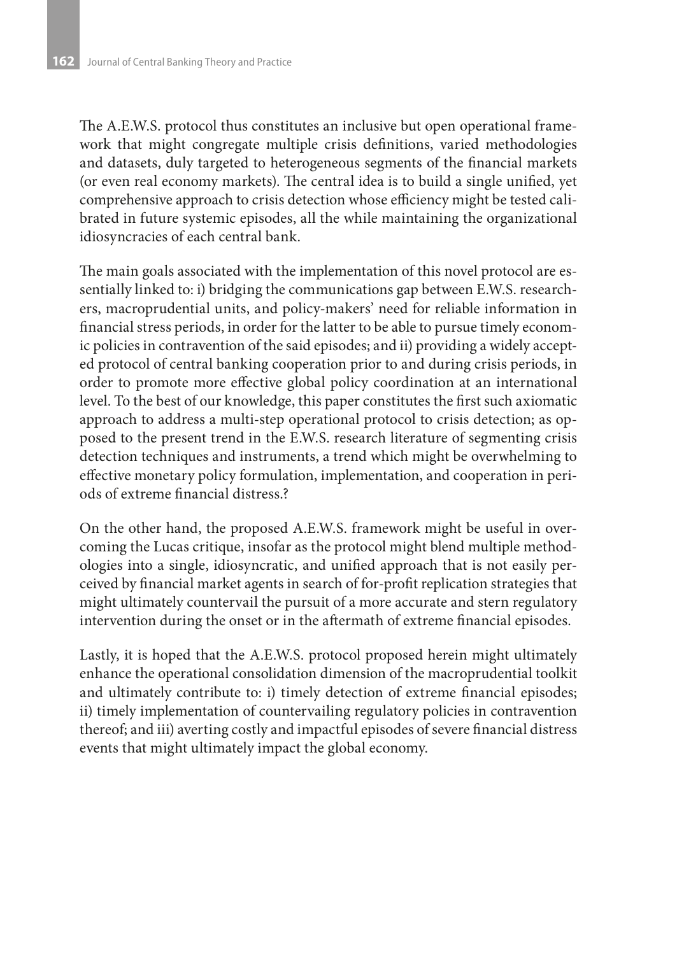The A.E.W.S. protocol thus constitutes an inclusive but open operational framework that might congregate multiple crisis definitions, varied methodologies and datasets, duly targeted to heterogeneous segments of the financial markets (or even real economy markets). The central idea is to build a single unified, yet comprehensive approach to crisis detection whose efficiency might be tested calibrated in future systemic episodes, all the while maintaining the organizational idiosyncracies of each central bank.

The main goals associated with the implementation of this novel protocol are essentially linked to: i) bridging the communications gap between E.W.S. researchers, macroprudential units, and policy-makers' need for reliable information in financial stress periods, in order for the latter to be able to pursue timely economic policies in contravention of the said episodes; and ii) providing a widely accepted protocol of central banking cooperation prior to and during crisis periods, in order to promote more effective global policy coordination at an international level. To the best of our knowledge, this paper constitutes the first such axiomatic approach to address a multi-step operational protocol to crisis detection; as opposed to the present trend in the E.W.S. research literature of segmenting crisis detection techniques and instruments, a trend which might be overwhelming to effective monetary policy formulation, implementation, and cooperation in periods of extreme financial distress.?

On the other hand, the proposed A.E.W.S. framework might be useful in overcoming the Lucas critique, insofar as the protocol might blend multiple methodologies into a single, idiosyncratic, and unified approach that is not easily perceived by financial market agents in search of for-profit replication strategies that might ultimately countervail the pursuit of a more accurate and stern regulatory intervention during the onset or in the aftermath of extreme financial episodes.

Lastly, it is hoped that the A.E.W.S. protocol proposed herein might ultimately enhance the operational consolidation dimension of the macroprudential toolkit and ultimately contribute to: i) timely detection of extreme financial episodes; ii) timely implementation of countervailing regulatory policies in contravention thereof; and iii) averting costly and impactful episodes of severe financial distress events that might ultimately impact the global economy.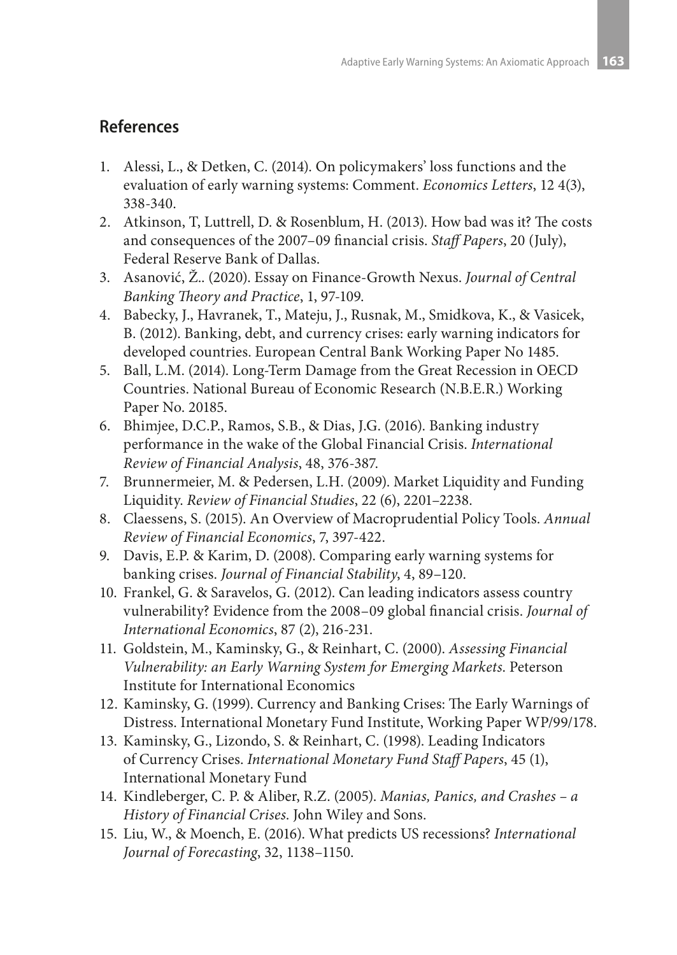### **References**

- 1. Alessi, L., & Detken, C. (2014). On policymakers' loss functions and the evaluation of early warning systems: Comment. *Economics Letters*, 12 4(3), 338-340.
- 2. Atkinson, T, Luttrell, D. & Rosenblum, H. (2013). How bad was it? The costs and consequences of the 2007–09 financial crisis. *Staff Papers*, 20 (July), Federal Reserve Bank of Dallas.
- 3. Asanović, Ž.. (2020). Essay on Finance-Growth Nexus. *Journal of Central Banking Theory and Practice*, 1, 97-109.
- 4. Babecky, J., Havranek, T., Mateju, J., Rusnak, M., Smidkova, K., & Vasicek, B. (2012). Banking, debt, and currency crises: early warning indicators for developed countries. European Central Bank Working Paper No 1485.
- 5. Ball, L.M. (2014). Long-Term Damage from the Great Recession in OECD Countries. National Bureau of Economic Research (N.B.E.R.) Working Paper No. 20185.
- 6. Bhimjee, D.C.P., Ramos, S.B., & Dias, J.G. (2016). Banking industry performance in the wake of the Global Financial Crisis. *International Review of Financial Analysis*, 48, 376-387.
- 7. Brunnermeier, M. & Pedersen, L.H. (2009). Market Liquidity and Funding Liquidity. *Review of Financial Studies*, 22 (6), 2201–2238.
- 8. Claessens, S. (2015). An Overview of Macroprudential Policy Tools. *Annual Review of Financial Economics*, 7, 397-422.
- 9. Davis, E.P. & Karim, D. (2008). Comparing early warning systems for banking crises. *Journal of Financial Stability*, 4, 89–120.
- 10. Frankel, G. & Saravelos, G. (2012). Can leading indicators assess country vulnerability? Evidence from the 2008–09 global financial crisis. *Journal of International Economics*, 87 (2), 216-231.
- 11. Goldstein, M., Kaminsky, G., & Reinhart, C. (2000). *Assessing Financial Vulnerability: an Early Warning System for Emerging Markets*. Peterson Institute for International Economics
- 12. Kaminsky, G. (1999). Currency and Banking Crises: The Early Warnings of Distress. International Monetary Fund Institute, Working Paper WP/99/178.
- 13. Kaminsky, G., Lizondo, S. & Reinhart, C. (1998). Leading Indicators of Currency Crises. *International Monetary Fund Staff Papers*, 45 (1), International Monetary Fund
- 14. Kindleberger, C. P. & Aliber, R.Z. (2005). *Manias, Panics, and Crashes a History of Financial Crises*. John Wiley and Sons.
- 15. Liu, W., & Moench, E. (2016). What predicts US recessions? *International Journal of Forecasting*, 32, 1138–1150.